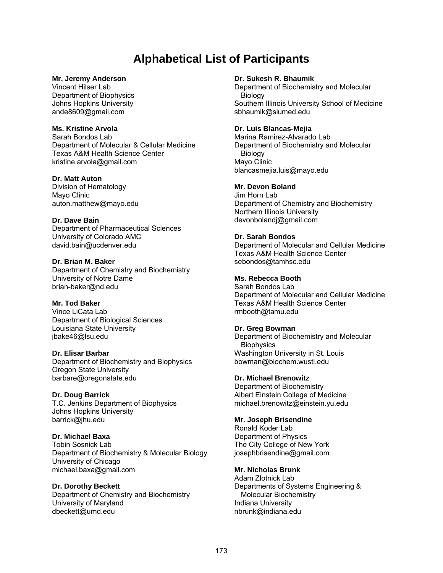# **Alphabetical List of Participants**

#### **Mr. Jeremy Anderson**

Vincent Hilser Lab Department of Biophysics Johns Hopkins University ande8609@gmail.com

### **Ms. Kristine Arvola**

Sarah Bondos Lab Department of Molecular & Cellular Medicine Texas A&M Health Science Center kristine.arvola@gmail.com

#### **Dr. Matt Auton**

Division of Hematology Mayo Clinic auton.matthew@mayo.edu

#### **Dr. Dave Bain**

Department of Pharmaceutical Sciences University of Colorado AMC david.bain@ucdenver.edu

#### **Dr. Brian M. Baker**  Department of Chemistry and Biochemistry University of Notre Dame brian-baker@nd.edu

# **Mr. Tod Baker**

Vince LiCata Lab Department of Biological Sciences Louisiana State University jbake46@lsu.edu

# **Dr. Elisar Barbar**

Department of Biochemistry and Biophysics Oregon State University barbare@oregonstate.edu

# **Dr. Doug Barrick**

T.C. Jenkins Department of Biophysics Johns Hopkins University barrick@jhu.edu

# **Dr. Michael Baxa**

Tobin Sosnick Lab Department of Biochemistry & Molecular Biology University of Chicago michael.baxa@gmail.com

# **Dr. Dorothy Beckett**

Department of Chemistry and Biochemistry University of Maryland dbeckett@umd.edu

#### **Dr. Sukesh R. Bhaumik**

Department of Biochemistry and Molecular Biology Southern Illinois University School of Medicine sbhaumik@siumed.edu

### **Dr. Luis Blancas-Mejia**

Marina Ramirez-Alvarado Lab Department of Biochemistry and Molecular Biology Mayo Clinic blancasmejia.luis@mayo.edu

# **Mr. Devon Boland**

Jim Horn Lab Department of Chemistry and Biochemistry Northern Illinois University devonbolandj@gmail.com

# **Dr. Sarah Bondos**

Department of Molecular and Cellular Medicine Texas A&M Health Science Center sebondos@tamhsc.edu

#### **Ms. Rebecca Booth**

Sarah Bondos Lab Department of Molecular and Cellular Medicine Texas A&M Health Science Center rmbooth@tamu.edu

#### **Dr. Greg Bowman**

Department of Biochemistry and Molecular **Biophysics** Washington University in St. Louis bowman@biochem.wustl.edu

# **Dr. Michael Brenowitz**

Department of Biochemistry Albert Einstein College of Medicine michael.brenowitz@einstein.yu.edu

# **Mr. Joseph Brisendine**

Ronald Koder Lab Department of Physics The City College of New York josephbrisendine@gmail.com

#### **Mr. Nicholas Brunk**

Adam Zlotnick Lab Departments of Systems Engineering & Molecular Biochemistry Indiana University nbrunk@indiana.edu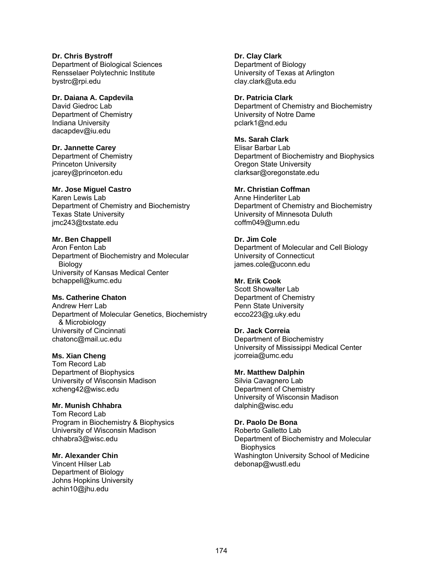#### **Dr. Chris Bystroff**  Department of Biological Sciences Rensselaer Polytechnic Institute bystrc@rpi.edu

# **Dr. Daiana A. Capdevila**

David Giedroc Lab Department of Chemistry Indiana University dacapdev@iu.edu

# **Dr. Jannette Carey**

Department of Chemistry Princeton University jcarey@princeton.edu

# **Mr. Jose Miguel Castro**

Karen Lewis Lab Department of Chemistry and Biochemistry Texas State University jmc243@txstate.edu

# **Mr. Ben Chappell**

Aron Fenton Lab Department of Biochemistry and Molecular Biology University of Kansas Medical Center bchappell@kumc.edu

# **Ms. Catherine Chaton**

Andrew Herr Lab Department of Molecular Genetics, Biochemistry & Microbiology University of Cincinnati chatonc@mail.uc.edu

# **Ms. Xian Cheng**

Tom Record Lab Department of Biophysics University of Wisconsin Madison xcheng42@wisc.edu

# **Mr. Munish Chhabra**

Tom Record Lab Program in Biochemistry & Biophysics University of Wisconsin Madison chhabra3@wisc.edu

# **Mr. Alexander Chin**

Vincent Hilser Lab Department of Biology Johns Hopkins University achin10@jhu.edu

**Dr. Clay Clark**  Department of Biology University of Texas at Arlington clay.clark@uta.edu

# **Dr. Patricia Clark**

Department of Chemistry and Biochemistry University of Notre Dame pclark1@nd.edu

# **Ms. Sarah Clark**

Elisar Barbar Lab Department of Biochemistry and Biophysics Oregon State University clarksar@oregonstate.edu

# **Mr. Christian Coffman**

Anne Hinderliter Lab Department of Chemistry and Biochemistry University of Minnesota Duluth coffm049@umn.edu

# **Dr. Jim Cole**

Department of Molecular and Cell Biology University of Connecticut james.cole@uconn.edu

# **Mr. Erik Cook**

Scott Showalter Lab Department of Chemistry Penn State University ecco223@g.uky.edu

# **Dr. Jack Correia**

Department of Biochemistry University of Mississippi Medical Center jcorreia@umc.edu

# **Mr. Matthew Dalphin**

Silvia Cavagnero Lab Department of Chemistry University of Wisconsin Madison dalphin@wisc.edu

# **Dr. Paolo De Bona**

Roberto Galletto Lab Department of Biochemistry and Molecular **Biophysics** Washington University School of Medicine debonap@wustl.edu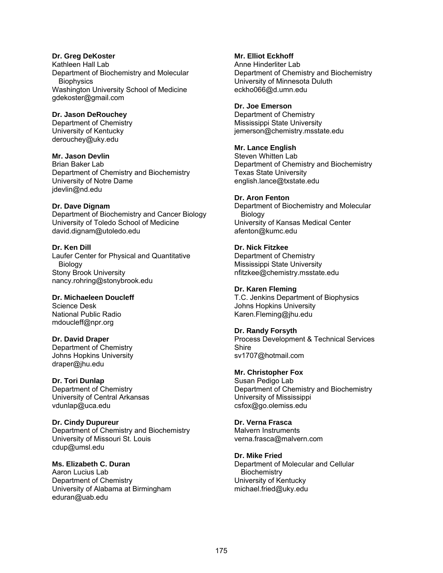### **Dr. Greg DeKoster**

Kathleen Hall Lab Department of Biochemistry and Molecular **Biophysics** Washington University School of Medicine gdekoster@gmail.com

#### **Dr. Jason DeRouchey**

Department of Chemistry University of Kentucky derouchey@uky.edu

# **Mr. Jason Devlin**

Brian Baker Lab Department of Chemistry and Biochemistry University of Notre Dame jdevlin@nd.edu

#### **Dr. Dave Dignam**

Department of Biochemistry and Cancer Biology University of Toledo School of Medicine david.dignam@utoledo.edu

# **Dr. Ken Dill**

Laufer Center for Physical and Quantitative Biology Stony Brook University nancy.rohring@stonybrook.edu

# **Dr. Michaeleen Doucleff**  Science Desk

National Public Radio mdoucleff@npr.org

# **Dr. David Draper**

Department of Chemistry Johns Hopkins University draper@jhu.edu

#### **Dr. Tori Dunlap**

Department of Chemistry University of Central Arkansas vdunlap@uca.edu

# **Dr. Cindy Dupureur**

Department of Chemistry and Biochemistry University of Missouri St. Louis cdup@umsl.edu

#### **Ms. Elizabeth C. Duran**  Aaron Lucius Lab Department of Chemistry University of Alabama at Birmingham eduran@uab.edu

# **Mr. Elliot Eckhoff**

Anne Hinderliter Lab Department of Chemistry and Biochemistry University of Minnesota Duluth eckho066@d.umn.edu

### **Dr. Joe Emerson**

Department of Chemistry Mississippi State University jemerson@chemistry.msstate.edu

# **Mr. Lance English**

Steven Whitten Lab Department of Chemistry and Biochemistry Texas State University english.lance@txstate.edu

#### **Dr. Aron Fenton**

Department of Biochemistry and Molecular Biology University of Kansas Medical Center afenton@kumc.edu

# **Dr. Nick Fitzkee**

Department of Chemistry Mississippi State University nfitzkee@chemistry.msstate.edu

### **Dr. Karen Fleming**

T.C. Jenkins Department of Biophysics Johns Hopkins University Karen.Fleming@jhu.edu

# **Dr. Randy Forsyth**

Process Development & Technical Services Shire sv1707@hotmail.com

# **Mr. Christopher Fox**

Susan Pedigo Lab Department of Chemistry and Biochemistry University of Mississippi csfox@go.olemiss.edu

# **Dr. Verna Frasca**

Malvern Instruments verna.frasca@malvern.com

# **Dr. Mike Fried**

Department of Molecular and Cellular **Biochemistry** University of Kentucky michael.fried@uky.edu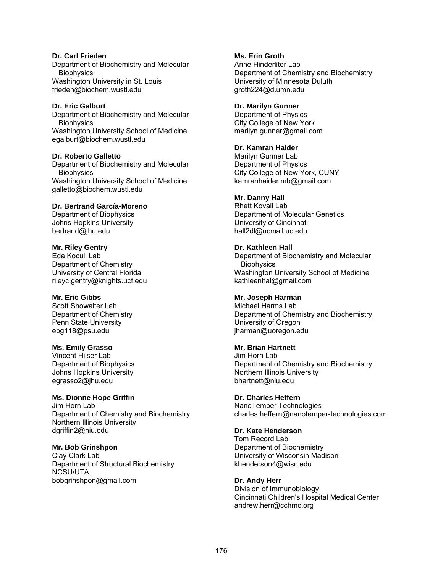#### **Dr. Carl Frieden**

Department of Biochemistry and Molecular **Biophysics** Washington University in St. Louis frieden@biochem.wustl.edu

#### **Dr. Eric Galburt**

Department of Biochemistry and Molecular **Biophysics** Washington University School of Medicine egalburt@biochem.wustl.edu

#### **Dr. Roberto Galletto**

Department of Biochemistry and Molecular **Biophysics** Washington University School of Medicine galletto@biochem.wustl.edu

#### **Dr. Bertrand García-Moreno**

Department of Biophysics Johns Hopkins University bertrand@jhu.edu

#### **Mr. Riley Gentry**

Eda Koculi Lab Department of Chemistry University of Central Florida rileyc.gentry@knights.ucf.edu

# **Mr. Eric Gibbs**

Scott Showalter Lab Department of Chemistry Penn State University ebg118@psu.edu

#### **Ms. Emily Grasso**

Vincent Hilser Lab Department of Biophysics Johns Hopkins University egrasso2@jhu.edu

# **Ms. Dionne Hope Griffin**

Jim Horn Lab Department of Chemistry and Biochemistry Northern Illinois University dgriffin2@niu.edu

# **Mr. Bob Grinshpon**

Clay Clark Lab Department of Structural Biochemistry NCSU/UTA bobgrinshpon@gmail.com

# **Ms. Erin Groth**

Anne Hinderliter Lab Department of Chemistry and Biochemistry University of Minnesota Duluth groth224@d.umn.edu

#### **Dr. Marilyn Gunner**

Department of Physics City College of New York marilyn.gunner@gmail.com

#### **Dr. Kamran Haider**

Marilyn Gunner Lab Department of Physics City College of New York, CUNY kamranhaider.mb@gmail.com

#### **Mr. Danny Hall**

Rhett Kovall Lab Department of Molecular Genetics University of Cincinnati hall2dl@ucmail.uc.edu

#### **Dr. Kathleen Hall**

Department of Biochemistry and Molecular **Biophysics** Washington University School of Medicine kathleenhal@gmail.com

# **Mr. Joseph Harman**

Michael Harms Lab Department of Chemistry and Biochemistry University of Oregon jharman@uoregon.edu

#### **Mr. Brian Hartnett**

Jim Horn Lab Department of Chemistry and Biochemistry Northern Illinois University bhartnett@niu.edu

#### **Dr. Charles Heffern**

NanoTemper Technologies charles.heffern@nanotemper-technologies.com

# **Dr. Kate Henderson**

Tom Record Lab Department of Biochemistry University of Wisconsin Madison khenderson4@wisc.edu

# **Dr. Andy Herr**

Division of Immunobiology Cincinnati Children's Hospital Medical Center andrew.herr@cchmc.org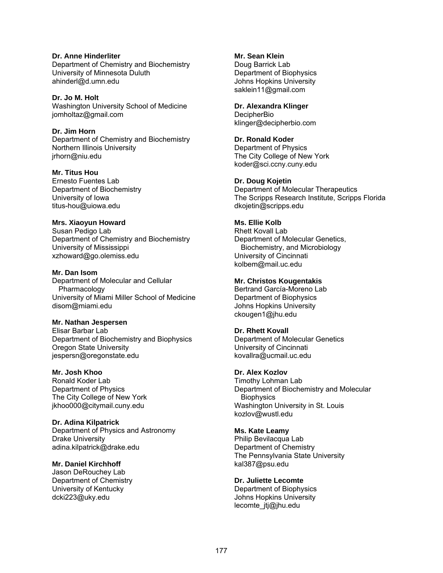**Dr. Anne Hinderliter**  Department of Chemistry and Biochemistry University of Minnesota Duluth ahinderl@d.umn.edu

#### **Dr. Jo M. Holt**

Washington University School of Medicine jomholtaz@gmail.com

#### **Dr. Jim Horn**

Department of Chemistry and Biochemistry Northern Illinois University jrhorn@niu.edu

#### **Mr. Titus Hou**

Ernesto Fuentes Lab Department of Biochemistry University of Iowa titus-hou@uiowa.edu

# **Mrs. Xiaoyun Howard**

Susan Pedigo Lab Department of Chemistry and Biochemistry University of Mississippi xzhoward@go.olemiss.edu

#### **Mr. Dan Isom**

Department of Molecular and Cellular Pharmacology University of Miami Miller School of Medicine disom@miami.edu

#### **Mr. Nathan Jespersen**

Elisar Barbar Lab Department of Biochemistry and Biophysics Oregon State University jespersn@oregonstate.edu

#### **Mr. Josh Khoo**

Ronald Koder Lab Department of Physics The City College of New York jkhoo000@citymail.cuny.edu

**Dr. Adina Kilpatrick**  Department of Physics and Astronomy Drake University adina.kilpatrick@drake.edu

#### **Mr. Daniel Kirchhoff**

Jason DeRouchey Lab Department of Chemistry University of Kentucky dcki223@uky.edu

#### **Mr. Sean Klein**

Doug Barrick Lab Department of Biophysics Johns Hopkins University saklein11@gmail.com

#### **Dr. Alexandra Klinger**

**DecipherBio** klinger@decipherbio.com

#### **Dr. Ronald Koder**

Department of Physics The City College of New York koder@sci.ccny.cuny.edu

#### **Dr. Doug Kojetin**

Department of Molecular Therapeutics The Scripps Research Institute, Scripps Florida dkojetin@scripps.edu

# **Ms. Ellie Kolb**

Rhett Kovall Lab Department of Molecular Genetics, Biochemistry, and Microbiology University of Cincinnati kolbem@mail.uc.edu

#### **Mr. Christos Kougentakis**

Bertrand García-Moreno Lab Department of Biophysics Johns Hopkins University ckougen1@jhu.edu

#### **Dr. Rhett Kovall**

Department of Molecular Genetics University of Cincinnati kovallra@ucmail.uc.edu

#### **Dr. Alex Kozlov**

Timothy Lohman Lab Department of Biochemistry and Molecular **Biophysics** Washington University in St. Louis kozlov@wustl.edu

#### **Ms. Kate Leamy**

Philip Bevilacqua Lab Department of Chemistry The Pennsylvania State University kal387@psu.edu

#### **Dr. Juliette Lecomte**

Department of Biophysics Johns Hopkins University lecomte\_jtj@jhu.edu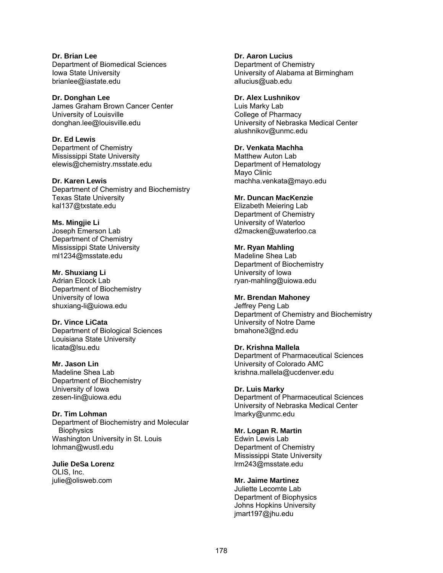**Dr. Brian Lee**  Department of Biomedical Sciences Iowa State University brianlee@iastate.edu

**Dr. Donghan Lee**  James Graham Brown Cancer Center University of Louisville donghan.lee@louisville.edu

**Dr. Ed Lewis**  Department of Chemistry Mississippi State University elewis@chemistry.msstate.edu

**Dr. Karen Lewis**  Department of Chemistry and Biochemistry Texas State University kal137@txstate.edu

**Ms. Mingjie Li**  Joseph Emerson Lab Department of Chemistry Mississippi State University ml1234@msstate.edu

**Mr. Shuxiang Li**  Adrian Elcock Lab Department of Biochemistry University of Iowa shuxiang-li@uiowa.edu

**Dr. Vince LiCata**  Department of Biological Sciences Louisiana State University licata@lsu.edu

**Mr. Jason Lin**  Madeline Shea Lab Department of Biochemistry University of Iowa zesen-lin@uiowa.edu

**Dr. Tim Lohman**  Department of Biochemistry and Molecular **Biophysics** Washington University in St. Louis lohman@wustl.edu

**Julie DeSa Lorenz**  OLIS, Inc. julie@olisweb.com

**Dr. Aaron Lucius**  Department of Chemistry University of Alabama at Birmingham allucius@uab.edu

**Dr. Alex Lushnikov**  Luis Marky Lab

College of Pharmacy University of Nebraska Medical Center alushnikov@unmc.edu

**Dr. Venkata Machha**  Matthew Auton Lab Department of Hematology

Mayo Clinic machha.venkata@mayo.edu

**Mr. Duncan MacKenzie**  Elizabeth Meiering Lab Department of Chemistry University of Waterloo d2macken@uwaterloo.ca

**Mr. Ryan Mahling**  Madeline Shea Lab Department of Biochemistry University of Iowa ryan-mahling@uiowa.edu

**Mr. Brendan Mahoney**  Jeffrey Peng Lab Department of Chemistry and Biochemistry University of Notre Dame bmahone3@nd.edu

**Dr. Krishna Mallela**  Department of Pharmaceutical Sciences University of Colorado AMC krishna.mallela@ucdenver.edu

**Dr. Luis Marky**  Department of Pharmaceutical Sciences University of Nebraska Medical Center lmarky@unmc.edu

**Mr. Logan R. Martin**  Edwin Lewis Lab Department of Chemistry Mississippi State University lrm243@msstate.edu

**Mr. Jaime Martinez**  Juliette Lecomte Lab Department of Biophysics Johns Hopkins University jmart197@jhu.edu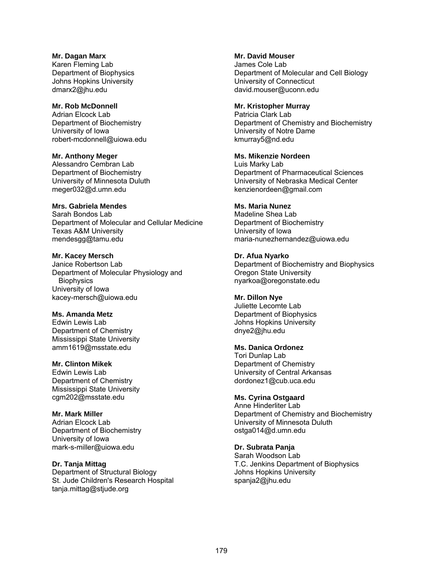#### **Mr. Dagan Marx**

Karen Fleming Lab Department of Biophysics Johns Hopkins University dmarx2@jhu.edu

## **Mr. Rob McDonnell**

Adrian Elcock Lab Department of Biochemistry University of Iowa robert-mcdonnell@uiowa.edu

#### **Mr. Anthony Meger**

Alessandro Cembran Lab Department of Biochemistry University of Minnesota Duluth meger032@d.umn.edu

#### **Mrs. Gabriela Mendes**

Sarah Bondos Lab Department of Molecular and Cellular Medicine Texas A&M University mendesgg@tamu.edu

#### **Mr. Kacey Mersch**

Janice Robertson Lab Department of Molecular Physiology and **Biophysics** University of Iowa kacey-mersch@uiowa.edu

# **Ms. Amanda Metz**

Edwin Lewis Lab Department of Chemistry Mississippi State University amm1619@msstate.edu

# **Mr. Clinton Mikek**

Edwin Lewis Lab Department of Chemistry Mississippi State University cgm202@msstate.edu

#### **Mr. Mark Miller**

Adrian Elcock Lab Department of Biochemistry University of Iowa mark-s-miller@uiowa.edu

# **Dr. Tanja Mittag**

Department of Structural Biology St. Jude Children's Research Hospital tanja.mittag@stjude.org

#### **Mr. David Mouser**

James Cole Lab Department of Molecular and Cell Biology University of Connecticut david.mouser@uconn.edu

#### **Mr. Kristopher Murray**

Patricia Clark Lab Department of Chemistry and Biochemistry University of Notre Dame kmurray5@nd.edu

#### **Ms. Mikenzie Nordeen**

Luis Marky Lab Department of Pharmaceutical Sciences University of Nebraska Medical Center kenzienordeen@gmail.com

#### **Ms. Maria Nunez**

Madeline Shea Lab Department of Biochemistry University of Iowa maria-nunezhernandez@uiowa.edu

#### **Dr. Afua Nyarko**

Department of Biochemistry and Biophysics Oregon State University nyarkoa@oregonstate.edu

# **Mr. Dillon Nye**

Juliette Lecomte Lab Department of Biophysics Johns Hopkins University dnye2@jhu.edu

#### **Ms. Danica Ordonez**

Tori Dunlap Lab Department of Chemistry University of Central Arkansas dordonez1@cub.uca.edu

# **Ms. Cyrina Ostgaard**

Anne Hinderliter Lab Department of Chemistry and Biochemistry University of Minnesota Duluth ostga014@d.umn.edu

#### **Dr. Subrata Panja**

Sarah Woodson Lab T.C. Jenkins Department of Biophysics Johns Hopkins University spanja2@jhu.edu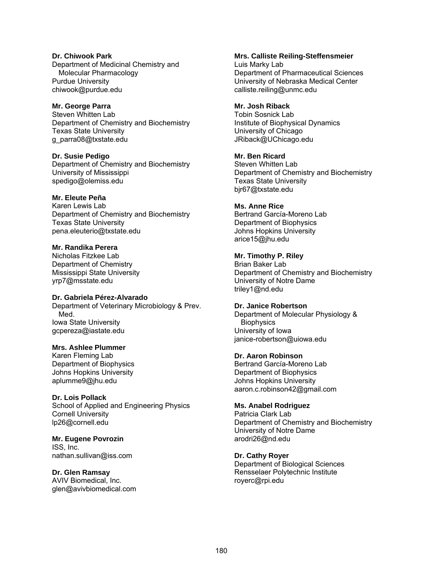#### **Dr. Chiwook Park**  Department of Medicinal Chemistry and Molecular Pharmacology Purdue University chiwook@purdue.edu

#### **Mr. George Parra**

Steven Whitten Lab Department of Chemistry and Biochemistry Texas State University g\_parra08@txstate.edu

**Dr. Susie Pedigo**  Department of Chemistry and Biochemistry University of Mississippi spedigo@olemiss.edu

#### **Mr. Eleute Peña**

Karen Lewis Lab Department of Chemistry and Biochemistry Texas State University pena.eleuterio@txstate.edu

# **Mr. Randika Perera**

Nicholas Fitzkee Lab Department of Chemistry Mississippi State University yrp7@msstate.edu

#### **Dr. Gabriela Pérez-Alvarado**

Department of Veterinary Microbiology & Prev. Med. Iowa State University gcpereza@iastate.edu

# **Mrs. Ashlee Plummer**

Karen Fleming Lab Department of Biophysics Johns Hopkins University aplumme9@jhu.edu

#### **Dr. Lois Pollack**

School of Applied and Engineering Physics Cornell University lp26@cornell.edu

**Mr. Eugene Povrozin**  ISS, Inc. nathan.sullivan@iss.com

# **Dr. Glen Ramsay**

AVIV Biomedical, Inc. glen@avivbiomedical.com

#### **Mrs. Calliste Reiling-Steffensmeier**

Luis Marky Lab Department of Pharmaceutical Sciences University of Nebraska Medical Center calliste.reiling@unmc.edu

## **Mr. Josh Riback**

Tobin Sosnick Lab Institute of Biophysical Dynamics University of Chicago JRiback@UChicago.edu

# **Mr. Ben Ricard**

Steven Whitten Lab Department of Chemistry and Biochemistry Texas State University bjr67@txstate.edu

#### **Ms. Anne Rice**

Bertrand García-Moreno Lab Department of Biophysics Johns Hopkins University arice15@jhu.edu

# **Mr. Timothy P. Riley**

Brian Baker Lab Department of Chemistry and Biochemistry University of Notre Dame triley1@nd.edu

#### **Dr. Janice Robertson**

Department of Molecular Physiology & **Biophysics** University of Iowa janice-robertson@uiowa.edu

#### **Dr. Aaron Robinson**

Bertrand García-Moreno Lab Department of Biophysics Johns Hopkins University aaron.c.robinson42@gmail.com

# **Ms. Anabel Rodriguez**

Patricia Clark Lab Department of Chemistry and Biochemistry University of Notre Dame arodri26@nd.edu

# **Dr. Cathy Royer**

Department of Biological Sciences Rensselaer Polytechnic Institute royerc@rpi.edu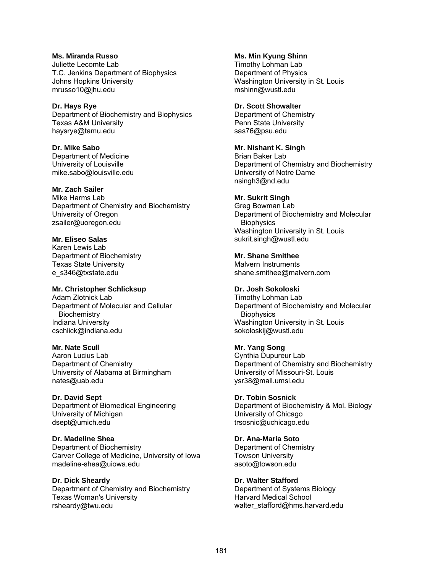**Ms. Miranda Russo**  Juliette Lecomte Lab T.C. Jenkins Department of Biophysics Johns Hopkins University mrusso10@jhu.edu

**Dr. Hays Rye**  Department of Biochemistry and Biophysics Texas A&M University haysrye@tamu.edu

**Dr. Mike Sabo**  Department of Medicine University of Louisville mike.sabo@louisville.edu

**Mr. Zach Sailer**  Mike Harms Lab Department of Chemistry and Biochemistry University of Oregon zsailer@uoregon.edu

**Mr. Eliseo Salas**  Karen Lewis Lab Department of Biochemistry Texas State University e\_s346@txstate.edu

**Mr. Christopher Schlicksup**  Adam Zlotnick Lab Department of Molecular and Cellular **Biochemistry** Indiana University cschlick@indiana.edu

**Mr. Nate Scull**  Aaron Lucius Lab Department of Chemistry University of Alabama at Birmingham nates@uab.edu

**Dr. David Sept**  Department of Biomedical Engineering University of Michigan dsept@umich.edu

**Dr. Madeline Shea**  Department of Biochemistry Carver College of Medicine, University of Iowa madeline-shea@uiowa.edu

**Dr. Dick Sheardy**  Department of Chemistry and Biochemistry Texas Woman's University rsheardy@twu.edu

**Ms. Min Kyung Shinn**  Timothy Lohman Lab Department of Physics Washington University in St. Louis mshinn@wustl.edu

**Dr. Scott Showalter**  Department of Chemistry Penn State University sas76@psu.edu

**Mr. Nishant K. Singh**  Brian Baker Lab Department of Chemistry and Biochemistry University of Notre Dame nsingh3@nd.edu

**Mr. Sukrit Singh**  Greg Bowman Lab Department of Biochemistry and Molecular **Biophysics** Washington University in St. Louis sukrit.singh@wustl.edu

**Mr. Shane Smithee**  Malvern Instruments shane.smithee@malvern.com

**Dr. Josh Sokoloski**  Timothy Lohman Lab Department of Biochemistry and Molecular **Biophysics** Washington University in St. Louis sokoloskij@wustl.edu

**Mr. Yang Song**  Cynthia Dupureur Lab Department of Chemistry and Biochemistry University of Missouri-St. Louis ysr38@mail.umsl.edu

**Dr. Tobin Sosnick**  Department of Biochemistry & Mol. Biology University of Chicago trsosnic@uchicago.edu

**Dr. Ana-Maria Soto**  Department of Chemistry Towson University asoto@towson.edu

**Dr. Walter Stafford**  Department of Systems Biology Harvard Medical School walter\_stafford@hms.harvard.edu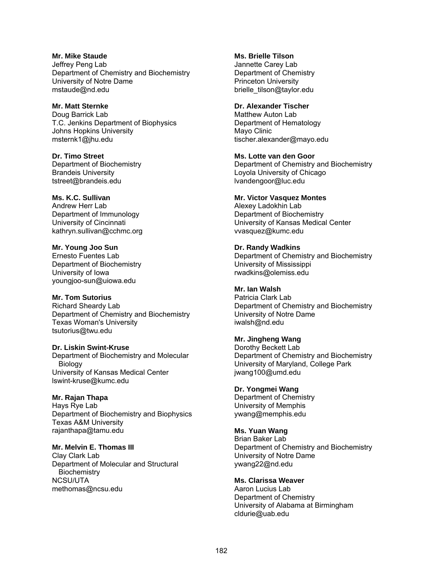**Mr. Mike Staude**  Jeffrey Peng Lab Department of Chemistry and Biochemistry University of Notre Dame mstaude@nd.edu

**Mr. Matt Sternke**  Doug Barrick Lab T.C. Jenkins Department of Biophysics Johns Hopkins University msternk1@jhu.edu

**Dr. Timo Street**  Department of Biochemistry Brandeis University tstreet@brandeis.edu

#### **Ms. K.C. Sullivan**

Andrew Herr Lab Department of Immunology University of Cincinnati kathryn.sullivan@cchmc.org

**Mr. Young Joo Sun** 

Ernesto Fuentes Lab Department of Biochemistry University of Iowa youngjoo-sun@uiowa.edu

**Mr. Tom Sutorius** 

Richard Sheardy Lab Department of Chemistry and Biochemistry Texas Woman's University tsutorius@twu.edu

**Dr. Liskin Swint-Kruse** 

Department of Biochemistry and Molecular Biology University of Kansas Medical Center lswint-kruse@kumc.edu

# **Mr. Rajan Thapa**

Hays Rye Lab Department of Biochemistry and Biophysics Texas A&M University rajanthapa@tamu.edu

**Mr. Melvin E. Thomas III** 

Clay Clark Lab Department of Molecular and Structural **Biochemistry** NCSU/UTA methomas@ncsu.edu

**Ms. Brielle Tilson**  Jannette Carey Lab Department of Chemistry Princeton University brielle\_tilson@taylor.edu

#### **Dr. Alexander Tischer**

Matthew Auton Lab Department of Hematology Mayo Clinic tischer.alexander@mayo.edu

**Ms. Lotte van den Goor** 

Department of Chemistry and Biochemistry Loyola University of Chicago lvandengoor@luc.edu

# **Mr. Victor Vasquez Montes**

Alexey Ladokhin Lab Department of Biochemistry University of Kansas Medical Center vvasquez@kumc.edu

**Dr. Randy Wadkins**  Department of Chemistry and Biochemistry University of Mississippi rwadkins@olemiss.edu

**Mr. Ian Walsh**  Patricia Clark Lab Department of Chemistry and Biochemistry University of Notre Dame iwalsh@nd.edu

# **Mr. Jingheng Wang**

Dorothy Beckett Lab Department of Chemistry and Biochemistry University of Maryland, College Park jwang100@umd.edu

# **Dr. Yongmei Wang**

Department of Chemistry University of Memphis ywang@memphis.edu

# **Ms. Yuan Wang**

Brian Baker Lab Department of Chemistry and Biochemistry University of Notre Dame ywang22@nd.edu

**Ms. Clarissa Weaver** 

Aaron Lucius Lab Department of Chemistry University of Alabama at Birmingham cldurie@uab.edu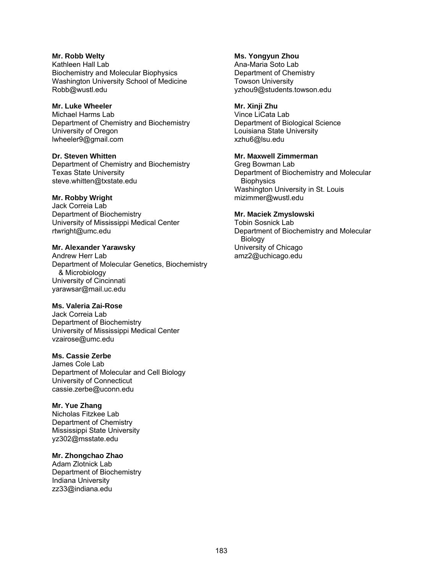#### **Mr. Robb Welty**  Kathleen Hall Lab Biochemistry and Molecular Biophysics Washington University School of Medicine Robb@wustl.edu

# **Mr. Luke Wheeler**

Michael Harms Lab Department of Chemistry and Biochemistry University of Oregon lwheeler9@gmail.com

#### **Dr. Steven Whitten**  Department of Chemistry and Biochemistry Texas State University steve.whitten@txstate.edu

#### **Mr. Robby Wright**

Jack Correia Lab Department of Biochemistry University of Mississippi Medical Center rtwright@umc.edu

# **Mr. Alexander Yarawsky**

Andrew Herr Lab Department of Molecular Genetics, Biochemistry & Microbiology University of Cincinnati yarawsar@mail.uc.edu

# **Ms. Valeria Zai-Rose**

Jack Correia Lab Department of Biochemistry University of Mississippi Medical Center vzairose@umc.edu

#### **Ms. Cassie Zerbe**

James Cole Lab Department of Molecular and Cell Biology University of Connecticut cassie.zerbe@uconn.edu

# **Mr. Yue Zhang**

Nicholas Fitzkee Lab Department of Chemistry Mississippi State University yz302@msstate.edu

# **Mr. Zhongchao Zhao**

Adam Zlotnick Lab Department of Biochemistry Indiana University zz33@indiana.edu

### **Ms. Yongyun Zhou**

Ana-Maria Soto Lab Department of Chemistry Towson University yzhou9@students.towson.edu

### **Mr. Xinji Zhu**

Vince LiCata Lab Department of Biological Science Louisiana State University xzhu6@lsu.edu

### **Mr. Maxwell Zimmerman**

Greg Bowman Lab Department of Biochemistry and Molecular **Biophysics** Washington University in St. Louis mizimmer@wustl.edu

# **Mr. Maciek Zmyslowski**

Tobin Sosnick Lab Department of Biochemistry and Molecular Biology University of Chicago amz2@uchicago.edu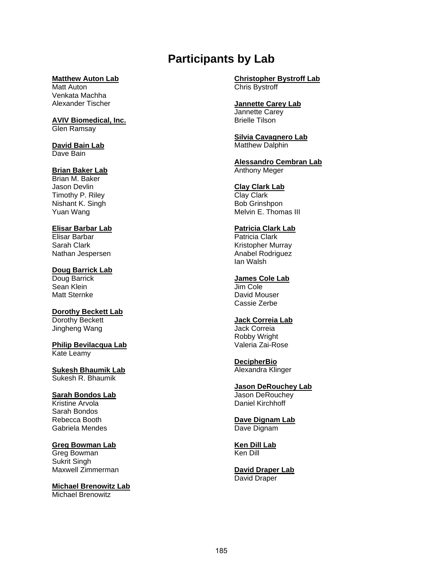# **Participants by Lab**

#### **Matthew Auton Lab**

Matt Auton Venkata Machha Alexander Tischer

# **AVIV Biomedical, Inc.**

Glen Ramsay

#### **David Bain Lab**  Dave Bain

#### **Brian Baker Lab**

Brian M. Baker Jason Devlin Timothy P. Riley Nishant K. Singh Yuan Wang

# **Elisar Barbar Lab**

Elisar Barbar Sarah Clark Nathan Jespersen

# **Doug Barrick Lab**

Doug Barrick Sean Klein Matt Sternke

# **Dorothy Beckett Lab**  Dorothy Beckett

Jingheng Wang

#### **Philip Bevilacqua Lab**  Kate Leamy

**Sukesh Bhaumik Lab**  Sukesh R. Bhaumik

# **Sarah Bondos Lab**

Kristine Arvola Sarah Bondos Rebecca Booth Gabriela Mendes

# **Greg Bowman Lab**

Greg Bowman Sukrit Singh Maxwell Zimmerman

#### **Michael Brenowitz Lab**  Michael Brenowitz

**Christopher Bystroff Lab**  Chris Bystroff

#### **Jannette Carey Lab**  Jannette Carey

Brielle Tilson

#### **Silvia Cavagnero Lab**  Matthew Dalphin

**Alessandro Cembran Lab**  Anthony Meger

# **Clay Clark Lab**

Clay Clark Bob Grinshpon Melvin E. Thomas III

# **Patricia Clark Lab**

Patricia Clark Kristopher Murray Anabel Rodriguez Ian Walsh

#### **James Cole Lab**

Jim Cole David Mouser Cassie Zerbe

#### **Jack Correia Lab**

Jack Correia Robby Wright Valeria Zai-Rose

# **DecipherBio**

Alexandra Klinger

# **Jason DeRouchey Lab**

Jason DeRouchey Daniel Kirchhoff

#### **Dave Dignam Lab**  Dave Dignam

**Ken Dill Lab**  Ken Dill

#### **David Draper Lab**  David Draper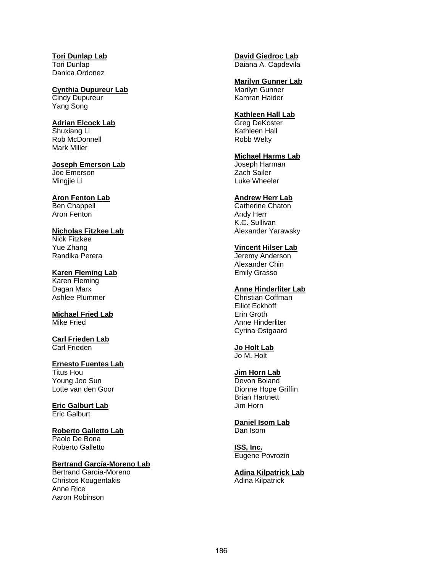**Tori Dunlap Lab**  Tori Dunlap Danica Ordonez

**Cynthia Dupureur Lab**  Cindy Dupureur Yang Song

**Adrian Elcock Lab**  Shuxiang Li Rob McDonnell Mark Miller

**Joseph Emerson Lab**  Joe Emerson Mingjie Li

**Aron Fenton Lab**  Ben Chappell Aron Fenton

**Nicholas Fitzkee Lab**  Nick Fitzkee Yue Zhang Randika Perera

**Karen Fleming Lab**  Karen Fleming Dagan Marx Ashlee Plummer

**Michael Fried Lab**  Mike Fried

**Carl Frieden Lab**  Carl Frieden

**Ernesto Fuentes Lab**  Titus Hou Young Joo Sun Lotte van den Goor

**Eric Galburt Lab**  Eric Galburt

**Roberto Galletto Lab**  Paolo De Bona Roberto Galletto

**Bertrand García-Moreno Lab** 

Bertrand García-Moreno Christos Kougentakis Anne Rice Aaron Robinson

**David Giedroc Lab**  Daiana A. Capdevila

**Marilyn Gunner Lab**  Marilyn Gunner Kamran Haider

#### **Kathleen Hall Lab**

Greg DeKoster Kathleen Hall Robb Welty

**Michael Harms Lab**  Joseph Harman

Zach Sailer Luke Wheeler

#### **Andrew Herr Lab**

Catherine Chaton Andy Herr K.C. Sullivan Alexander Yarawsky

#### **Vincent Hilser Lab**

Jeremy Anderson Alexander Chin Emily Grasso

# **Anne Hinderliter Lab**

Christian Coffman Elliot Eckhoff Erin Groth Anne Hinderliter Cyrina Ostgaard

# **Jo Holt Lab**

Jo M. Holt

#### **Jim Horn Lab**

Devon Boland Dionne Hope Griffin Brian Hartnett Jim Horn

**Daniel Isom Lab**  Dan Isom

**ISS, Inc.**  Eugene Povrozin

**Adina Kilpatrick Lab**  Adina Kilpatrick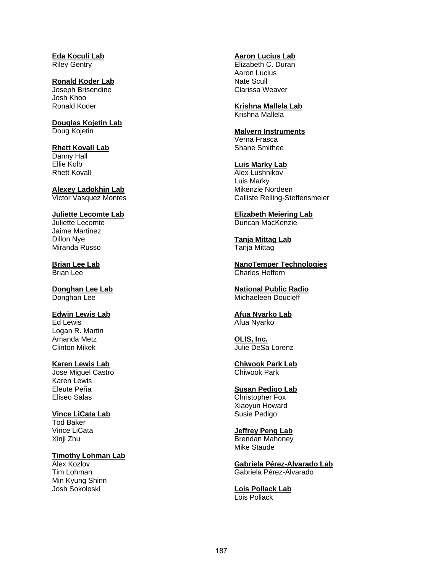**Eda Koculi Lab**  Riley Gentry

**Ronald Koder Lab**  Joseph Brisendine Josh Khoo Ronald Koder

**Douglas Kojetin Lab**  Doug Kojetin

#### **Rhett Kovall Lab**

Danny Hall Ellie Kolb Rhett Kovall

**Alexey Ladokhin Lab**  Victor Vasquez Montes

#### **Juliette Lecomte Lab**  Juliette Lecomte

Jaime Martinez Dillon Nye Miranda Russo

**Brian Lee Lab**  Brian Lee

**Donghan Lee Lab**  Donghan Lee

**Edwin Lewis Lab**  Ed Lewis Logan R. Martin Amanda Metz Clinton Mikek

**Karen Lewis Lab** 

Jose Miguel Castro Karen Lewis Eleute Peña Eliseo Salas

**Vince LiCata Lab** 

Tod Baker Vince LiCata Xinji Zhu

# **Timothy Lohman Lab**

Alex Kozlov Tim Lohman Min Kyung Shinn Josh Sokoloski

#### **Aaron Lucius Lab**

Elizabeth C. Duran Aaron Lucius Nate Scull Clarissa Weaver

**Krishna Mallela Lab**  Krishna Mallela

#### **Malvern Instruments**

Verna Frasca Shane Smithee

#### **Luis Marky Lab**

Alex Lushnikov Luis Marky Mikenzie Nordeen Calliste Reiling-Steffensmeier

**Elizabeth Meiering Lab**  Duncan MacKenzie

**Tanja Mittag Lab**  Tanja Mittag

**NanoTemper Technologies**  Charles Heffern

**National Public Radio**  Michaeleen Doucleff

**Afua Nyarko Lab**  Afua Nyarko

**OLIS, Inc.**  Julie DeSa Lorenz

**Chiwook Park Lab**  Chiwook Park

**Susan Pedigo Lab**  Christopher Fox Xiaoyun Howard Susie Pedigo

**Jeffrey Peng Lab**  Brendan Mahoney Mike Staude

**Gabriela Pérez-Alvarado Lab**  Gabriela Pérez-Alvarado

**Lois Pollack Lab**  Lois Pollack